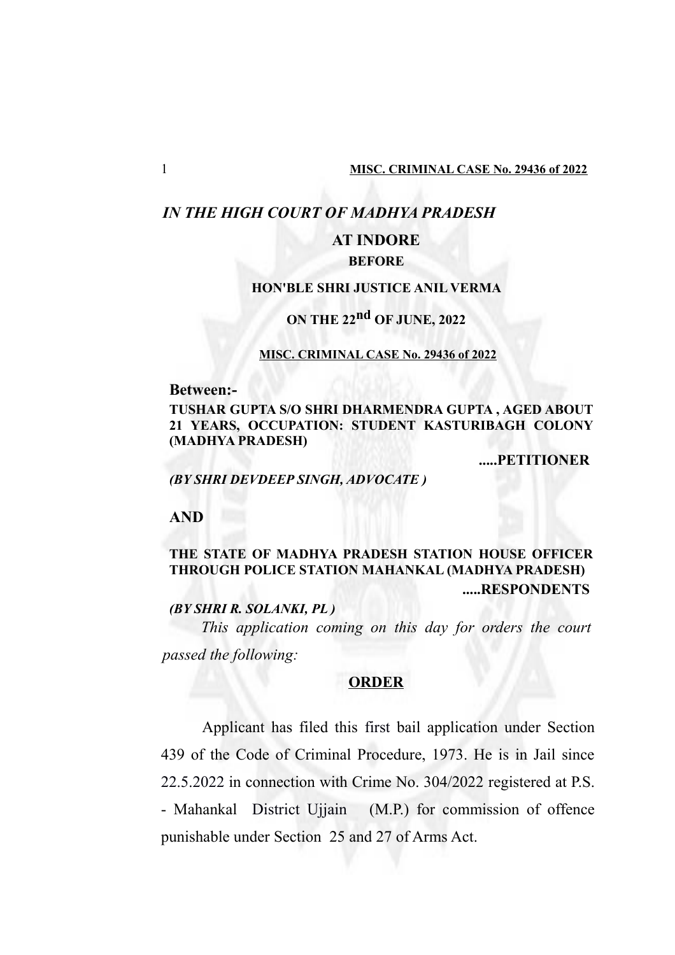## *IN THE HIGH COURT OF MADHYA PRADESH*

## **AT INDORE**

## **BEFORE**

## **HON'BLE SHRI JUSTICE ANIL VERMA**

# **ON THE 22nd OF JUNE, 2022**

### **MISC. CRIMINAL CASE No. 29436 of 2022**

#### **Between:-**

**TUSHAR GUPTA S/O SHRI DHARMENDRA GUPTA , AGED ABOUT 21 YEARS, OCCUPATION: STUDENT KASTURIBAGH COLONY (MADHYA PRADESH)**

**.....PETITIONER**

*(BY SHRI DEVDEEP SINGH, ADVOCATE )*

## **AND**

# **THE STATE OF MADHYA PRADESH STATION HOUSE OFFICER THROUGH POLICE STATION MAHANKAL (MADHYA PRADESH) .....RESPONDENTS**

## *(BY SHRI R. SOLANKI, PL )*

*This application coming on this day for orders the court passed the following:*

## **ORDER**

Applicant has filed this first bail application under Section 439 of the Code of Criminal Procedure, 1973. He is in Jail since 22.5.2022 in connection with Crime No. 304/2022 registered at P.S. - Mahankal District Ujjain (M.P.) for commission of offence punishable under Section 25 and 27 of Arms Act.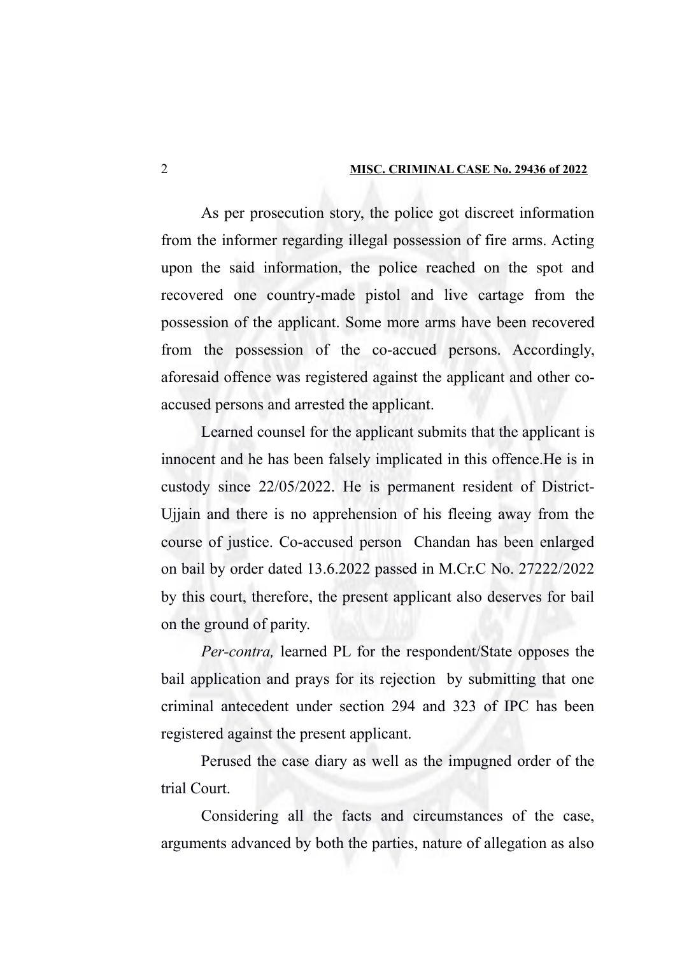As per prosecution story, the police got discreet information from the informer regarding illegal possession of fire arms. Acting upon the said information, the police reached on the spot and recovered one country-made pistol and live cartage from the possession of the applicant. Some more arms have been recovered from the possession of the co-accued persons. Accordingly, aforesaid offence was registered against the applicant and other coaccused persons and arrested the applicant.

Learned counsel for the applicant submits that the applicant is innocent and he has been falsely implicated in this offence.He is in custody since 22/05/2022. He is permanent resident of District-Ujiain and there is no apprehension of his fleeing away from the course of justice. Co-accused person Chandan has been enlarged on bail by order dated 13.6.2022 passed in M.Cr.C No. 27222/2022 by this court, therefore, the present applicant also deserves for bail on the ground of parity.

*Per-contra,* learned PL for the respondent/State opposes the bail application and prays for its rejection by submitting that one criminal antecedent under section 294 and 323 of IPC has been registered against the present applicant.

Perused the case diary as well as the impugned order of the trial Court.

Considering all the facts and circumstances of the case, arguments advanced by both the parties, nature of allegation as also